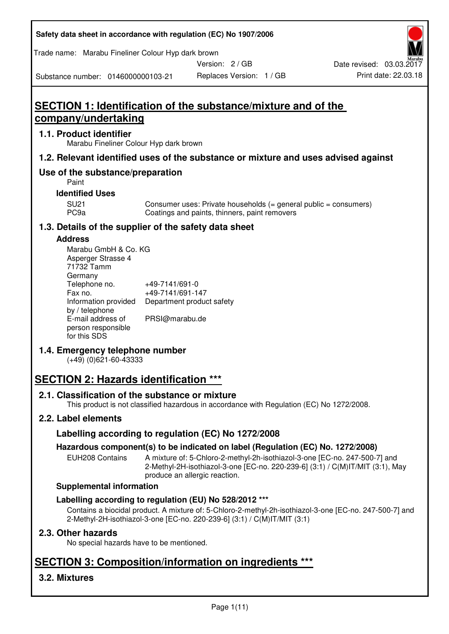| Safety data sheet in accordance with regulation (EC) No 1907/2006 |  |
|-------------------------------------------------------------------|--|
|-------------------------------------------------------------------|--|

Trade name: Marabu Fineliner Colour Hyp dark brown

Version: 2 / GB

Substance number: 0146000000103-21

# **SECTION 1: Identification of the substance/mixture and of the company/undertaking**

## **1.1. Product identifier**

Marabu Fineliner Colour Hyp dark brown

### **1.2. Relevant identified uses of the substance or mixture and uses advised against**

## **Use of the substance/preparation**

Paint

#### **Identified Uses**

SU21 Consumer uses: Private households (= general public = consumers)<br>PC9a Coatings and paints, thinners, paint removers Coatings and paints, thinners, paint removers

## **1.3. Details of the supplier of the safety data sheet**

#### **Address**

| Marabu GmbH & Co. KG |                           |
|----------------------|---------------------------|
| Asperger Strasse 4   |                           |
| 71732 Tamm           |                           |
| Germany              |                           |
| Telephone no.        | +49-7141/691-0            |
| Fax no.              | +49-7141/691-147          |
| Information provided | Department product safety |
| by / telephone       |                           |
| E-mail address of    | PRSI@marabu.de            |
| person responsible   |                           |
| for this SDS         |                           |

## **1.4. Emergency telephone number**

(+49) (0)621-60-43333

# **SECTION 2: Hazards identification \*\*\***

## **2.1. Classification of the substance or mixture**

This product is not classified hazardous in accordance with Regulation (EC) No 1272/2008.

## **2.2. Label elements**

## **Labelling according to regulation (EC) No 1272/2008**

## **Hazardous component(s) to be indicated on label (Regulation (EC) No. 1272/2008)**

EUH208 Contains A mixture of: 5-Chloro-2-methyl-2h-isothiazol-3-one [EC-no. 247-500-7] and 2-Methyl-2H-isothiazol-3-one [EC-no. 220-239-6] (3:1) / C(M)IT/MIT (3:1), May produce an allergic reaction.

#### **Supplemental information**

## **Labelling according to regulation (EU) No 528/2012 \*\*\***

Contains a biocidal product. A mixture of: 5-Chloro-2-methyl-2h-isothiazol-3-one [EC-no. 247-500-7] and 2-Methyl-2H-isothiazol-3-one [EC-no. 220-239-6] (3:1) / C(M)IT/MIT (3:1)

## **2.3. Other hazards**

No special hazards have to be mentioned.

# **SECTION 3: Composition/information on ingredients \*\*\***

## **3.2. Mixtures**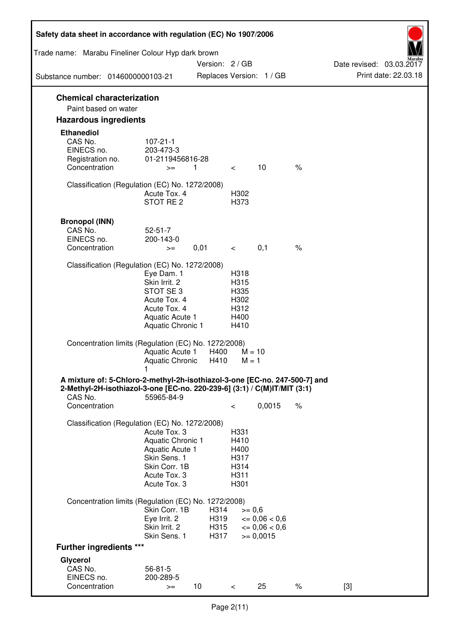| Safety data sheet in accordance with regulation (EC) No 1907/2006                                                                                                 |                                                                                                                       |                      |                                                      |                                              |      |                          |
|-------------------------------------------------------------------------------------------------------------------------------------------------------------------|-----------------------------------------------------------------------------------------------------------------------|----------------------|------------------------------------------------------|----------------------------------------------|------|--------------------------|
| Trade name: Marabu Fineliner Colour Hyp dark brown                                                                                                                |                                                                                                                       | Version: 2 / GB      |                                                      |                                              |      | Date revised: 03.03.2017 |
| Substance number: 0146000000103-21                                                                                                                                |                                                                                                                       |                      |                                                      | Replaces Version: 1 / GB                     |      | Print date: 22.03.18     |
| <b>Chemical characterization</b><br>Paint based on water                                                                                                          |                                                                                                                       |                      |                                                      |                                              |      |                          |
| <b>Hazardous ingredients</b>                                                                                                                                      |                                                                                                                       |                      |                                                      |                                              |      |                          |
| <b>Ethanediol</b><br>CAS No.<br>EINECS no.<br>Registration no.<br>Concentration                                                                                   | $107 - 21 - 1$<br>203-473-3<br>01-2119456816-28<br>$>=$                                                               | $\overline{1}$       | $\lt$                                                | 10                                           | $\%$ |                          |
| Classification (Regulation (EC) No. 1272/2008)                                                                                                                    | Acute Tox, 4<br>STOT RE <sub>2</sub>                                                                                  |                      | H302<br>H373                                         |                                              |      |                          |
| <b>Bronopol (INN)</b><br>CAS No.<br>EINECS no.<br>Concentration                                                                                                   | $52 - 51 - 7$<br>200-143-0<br>$>=$                                                                                    | 0,01                 | $\overline{\phantom{0}}$                             | 0,1                                          | $\%$ |                          |
| Classification (Regulation (EC) No. 1272/2008)                                                                                                                    | Eye Dam. 1<br>Skin Irrit. 2<br>STOT SE3<br>Acute Tox. 4<br>Acute Tox. 4<br>Aquatic Acute 1<br>Aquatic Chronic 1       |                      | H318<br>H315<br>H335<br>H302<br>H312<br>H400<br>H410 |                                              |      |                          |
| Concentration limits (Regulation (EC) No. 1272/2008)                                                                                                              | Aquatic Acute 1<br>Aquatic Chronic                                                                                    | H400<br>H410         | $M = 10$<br>$M = 1$                                  |                                              |      |                          |
| A mixture of: 5-Chloro-2-methyl-2h-isothiazol-3-one [EC-no. 247-500-7] and<br>2-Methyl-2H-isothiazol-3-one [EC-no. 220-239-6] (3:1) / C(M)IT/MIT (3:1)<br>CAS No. | 55965-84-9                                                                                                            |                      |                                                      |                                              |      |                          |
| Concentration                                                                                                                                                     |                                                                                                                       |                      | $\,<\,$                                              | 0,0015                                       | $\%$ |                          |
| Classification (Regulation (EC) No. 1272/2008)                                                                                                                    | Acute Tox. 3<br>Aquatic Chronic 1<br>Aquatic Acute 1<br>Skin Sens. 1<br>Skin Corr. 1B<br>Acute Tox. 3<br>Acute Tox. 3 |                      | H331<br>H410<br>H400<br>H317<br>H314<br>H311<br>H301 |                                              |      |                          |
| Concentration limits (Regulation (EC) No. 1272/2008)                                                                                                              | Skin Corr. 1B<br>Eye Irrit. 2<br>Skin Irrit. 2                                                                        | H314<br>H319<br>H315 | $>= 0,6$                                             | $\epsilon = 0.06 < 0.6$<br>$\leq 0.06 < 0.6$ |      |                          |
| <b>Further ingredients ***</b>                                                                                                                                    | Skin Sens. 1                                                                                                          | H317                 |                                                      | $>= 0,0015$                                  |      |                          |
| Glycerol                                                                                                                                                          |                                                                                                                       |                      |                                                      |                                              |      |                          |
| CAS No.<br>EINECS no.<br>Concentration                                                                                                                            | $56 - 81 - 5$<br>200-289-5<br>$>=$                                                                                    | 10                   | $\lt$                                                | 25                                           | $\%$ | $[3]$                    |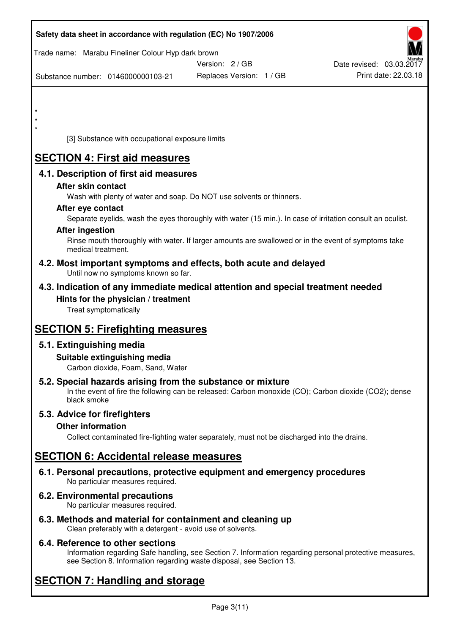| Safety data sheet in accordance with regulation (EC) No 1907/2006                                                                                                                                                                                                                                                                                                      |                                                                                              |                                                                                                                                                                                                                   |
|------------------------------------------------------------------------------------------------------------------------------------------------------------------------------------------------------------------------------------------------------------------------------------------------------------------------------------------------------------------------|----------------------------------------------------------------------------------------------|-------------------------------------------------------------------------------------------------------------------------------------------------------------------------------------------------------------------|
| Trade name: Marabu Fineliner Colour Hyp dark brown                                                                                                                                                                                                                                                                                                                     | Version: 2 / GB                                                                              | Date revised: 03.03.2017                                                                                                                                                                                          |
| Substance number: 0146000000103-21                                                                                                                                                                                                                                                                                                                                     | Replaces Version: 1 / GB                                                                     | Print date: 22.03.18                                                                                                                                                                                              |
| $\star$<br>[3] Substance with occupational exposure limits                                                                                                                                                                                                                                                                                                             |                                                                                              |                                                                                                                                                                                                                   |
| <b>SECTION 4: First aid measures</b>                                                                                                                                                                                                                                                                                                                                   |                                                                                              |                                                                                                                                                                                                                   |
| 4.1. Description of first aid measures<br>After skin contact<br>After eye contact<br><b>After ingestion</b><br>medical treatment.<br>4.2. Most important symptoms and effects, both acute and delayed<br>Until now no symptoms known so far.<br>4.3. Indication of any immediate medical attention and special treatment needed<br>Hints for the physician / treatment | Wash with plenty of water and soap. Do NOT use solvents or thinners.                         | Separate eyelids, wash the eyes thoroughly with water (15 min.). In case of irritation consult an oculist.<br>Rinse mouth thoroughly with water. If larger amounts are swallowed or in the event of symptoms take |
| Treat symptomatically                                                                                                                                                                                                                                                                                                                                                  |                                                                                              |                                                                                                                                                                                                                   |
| <b>SECTION 5: Firefighting measures</b>                                                                                                                                                                                                                                                                                                                                |                                                                                              |                                                                                                                                                                                                                   |
| 5.1. Extinguishing media<br>Suitable extinguishing media<br>Carbon dioxide, Foam, Sand, Water                                                                                                                                                                                                                                                                          |                                                                                              |                                                                                                                                                                                                                   |
| 5.2. Special hazards arising from the substance or mixture<br>black smoke                                                                                                                                                                                                                                                                                              |                                                                                              | In the event of fire the following can be released: Carbon monoxide (CO); Carbon dioxide (CO2); dense                                                                                                             |
| 5.3. Advice for firefighters<br><b>Other information</b>                                                                                                                                                                                                                                                                                                               | Collect contaminated fire-fighting water separately, must not be discharged into the drains. |                                                                                                                                                                                                                   |
| <b>SECTION 6: Accidental release measures</b>                                                                                                                                                                                                                                                                                                                          |                                                                                              |                                                                                                                                                                                                                   |
| 6.1. Personal precautions, protective equipment and emergency procedures<br>No particular measures required.                                                                                                                                                                                                                                                           |                                                                                              |                                                                                                                                                                                                                   |
| 6.2. Environmental precautions<br>No particular measures required.                                                                                                                                                                                                                                                                                                     |                                                                                              |                                                                                                                                                                                                                   |
| 6.3. Methods and material for containment and cleaning up                                                                                                                                                                                                                                                                                                              |                                                                                              |                                                                                                                                                                                                                   |

Clean preferably with a detergent - avoid use of solvents.

## **6.4. Reference to other sections**

Information regarding Safe handling, see Section 7. Information regarding personal protective measures, see Section 8. Information regarding waste disposal, see Section 13.

# **SECTION 7: Handling and storage**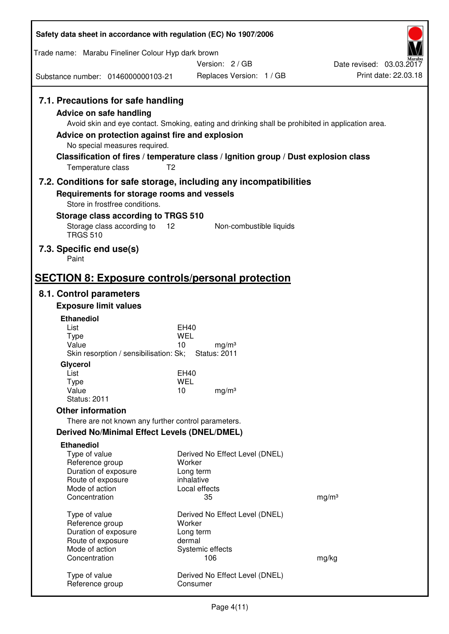| Safety data sheet in accordance with regulation (EC) No 1907/2006                                                                                                                                                                                                                                                                             |                     |                                            |                   |                          |
|-----------------------------------------------------------------------------------------------------------------------------------------------------------------------------------------------------------------------------------------------------------------------------------------------------------------------------------------------|---------------------|--------------------------------------------|-------------------|--------------------------|
| Trade name: Marabu Fineliner Colour Hyp dark brown                                                                                                                                                                                                                                                                                            |                     |                                            |                   |                          |
|                                                                                                                                                                                                                                                                                                                                               |                     | Version: 2 / GB                            |                   | Date revised: 03.03.2017 |
| Substance number: 0146000000103-21                                                                                                                                                                                                                                                                                                            |                     | Replaces Version: 1 / GB                   |                   | Print date: 22.03.18     |
| 7.1. Precautions for safe handling<br>Advice on safe handling<br>Avoid skin and eye contact. Smoking, eating and drinking shall be prohibited in application area.<br>Advice on protection against fire and explosion<br>No special measures required.<br>Classification of fires / temperature class / Ignition group / Dust explosion class |                     |                                            |                   |                          |
| Temperature class                                                                                                                                                                                                                                                                                                                             | T <sub>2</sub>      |                                            |                   |                          |
| 7.2. Conditions for safe storage, including any incompatibilities<br>Requirements for storage rooms and vessels<br>Store in frostfree conditions.<br>Storage class according to TRGS 510<br>Storage class according to<br><b>TRGS 510</b>                                                                                                     | 12                  | Non-combustible liquids                    |                   |                          |
| 7.3. Specific end use(s)<br>Paint                                                                                                                                                                                                                                                                                                             |                     |                                            |                   |                          |
| <b>SECTION 8: Exposure controls/personal protection</b>                                                                                                                                                                                                                                                                                       |                     |                                            |                   |                          |
| 8.1. Control parameters                                                                                                                                                                                                                                                                                                                       |                     |                                            |                   |                          |
| <b>Exposure limit values</b>                                                                                                                                                                                                                                                                                                                  |                     |                                            |                   |                          |
| <b>Ethanediol</b>                                                                                                                                                                                                                                                                                                                             |                     |                                            |                   |                          |
| List<br>Type                                                                                                                                                                                                                                                                                                                                  | EH40<br><b>WEL</b>  |                                            |                   |                          |
| Value<br>Skin resorption / sensibilisation: Sk;                                                                                                                                                                                                                                                                                               | 10                  | mg/m <sup>3</sup><br><b>Status: 2011</b>   |                   |                          |
| Glycerol                                                                                                                                                                                                                                                                                                                                      |                     |                                            |                   |                          |
| List<br>Type                                                                                                                                                                                                                                                                                                                                  | EH40<br>WEL         |                                            |                   |                          |
| Value<br><b>Status: 2011</b>                                                                                                                                                                                                                                                                                                                  | 10                  | mg/m <sup>3</sup>                          |                   |                          |
| <b>Other information</b>                                                                                                                                                                                                                                                                                                                      |                     |                                            |                   |                          |
| There are not known any further control parameters.                                                                                                                                                                                                                                                                                           |                     |                                            |                   |                          |
| <b>Derived No/Minimal Effect Levels (DNEL/DMEL)</b>                                                                                                                                                                                                                                                                                           |                     |                                            |                   |                          |
| <b>Ethanediol</b>                                                                                                                                                                                                                                                                                                                             |                     |                                            |                   |                          |
| Type of value                                                                                                                                                                                                                                                                                                                                 |                     | Derived No Effect Level (DNEL)             |                   |                          |
| Reference group<br>Duration of exposure                                                                                                                                                                                                                                                                                                       | Worker<br>Long term |                                            |                   |                          |
| Route of exposure                                                                                                                                                                                                                                                                                                                             | inhalative          |                                            |                   |                          |
| Mode of action                                                                                                                                                                                                                                                                                                                                |                     | Local effects                              |                   |                          |
| Concentration                                                                                                                                                                                                                                                                                                                                 |                     | 35                                         | mg/m <sup>3</sup> |                          |
| Type of value                                                                                                                                                                                                                                                                                                                                 |                     | Derived No Effect Level (DNEL)             |                   |                          |
| Reference group                                                                                                                                                                                                                                                                                                                               | Worker              |                                            |                   |                          |
| Duration of exposure<br>Route of exposure                                                                                                                                                                                                                                                                                                     | Long term<br>dermal |                                            |                   |                          |
| Mode of action                                                                                                                                                                                                                                                                                                                                |                     | Systemic effects                           |                   |                          |
| Concentration                                                                                                                                                                                                                                                                                                                                 |                     | 106                                        | mg/kg             |                          |
| Type of value<br>Reference group                                                                                                                                                                                                                                                                                                              |                     | Derived No Effect Level (DNEL)<br>Consumer |                   |                          |
|                                                                                                                                                                                                                                                                                                                                               |                     |                                            |                   |                          |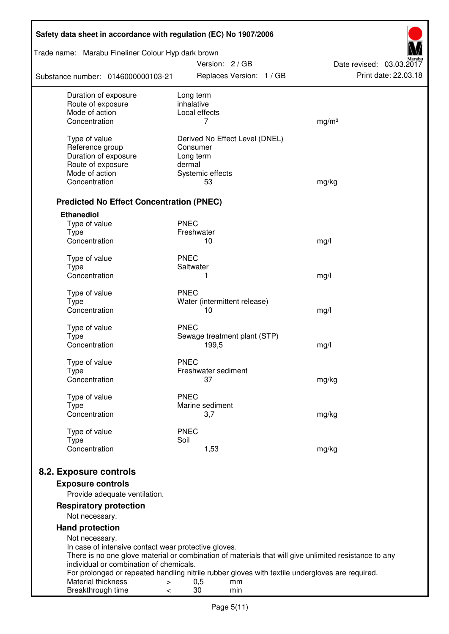| Safety data sheet in accordance with regulation (EC) No 1907/2006                                                                                |                         |                        |                                |                          |  |  |  |
|--------------------------------------------------------------------------------------------------------------------------------------------------|-------------------------|------------------------|--------------------------------|--------------------------|--|--|--|
| Trade name: Marabu Fineliner Colour Hyp dark brown                                                                                               |                         | Version: 2/GB          |                                | Date revised: 03.03.2017 |  |  |  |
| Substance number: 0146000000103-21                                                                                                               |                         |                        | Replaces Version: 1 / GB       | Print date: 22.03.18     |  |  |  |
| Duration of exposure<br>Route of exposure                                                                                                        | Long term<br>inhalative |                        |                                |                          |  |  |  |
| Mode of action                                                                                                                                   |                         | Local effects          |                                |                          |  |  |  |
| Concentration                                                                                                                                    |                         | 7                      |                                | mg/m <sup>3</sup>        |  |  |  |
| Type of value                                                                                                                                    |                         |                        | Derived No Effect Level (DNEL) |                          |  |  |  |
| Reference group                                                                                                                                  | Consumer                |                        |                                |                          |  |  |  |
| Duration of exposure                                                                                                                             | Long term               |                        |                                |                          |  |  |  |
| Route of exposure                                                                                                                                | dermal                  |                        |                                |                          |  |  |  |
| Mode of action                                                                                                                                   |                         | Systemic effects       |                                |                          |  |  |  |
| Concentration                                                                                                                                    |                         | 53                     |                                | mg/kg                    |  |  |  |
| <b>Predicted No Effect Concentration (PNEC)</b>                                                                                                  |                         |                        |                                |                          |  |  |  |
| <b>Ethanediol</b>                                                                                                                                |                         |                        |                                |                          |  |  |  |
| Type of value                                                                                                                                    | <b>PNEC</b>             |                        |                                |                          |  |  |  |
| <b>Type</b><br>Concentration                                                                                                                     | Freshwater              | 10                     |                                | mg/l                     |  |  |  |
|                                                                                                                                                  |                         |                        |                                |                          |  |  |  |
| Type of value                                                                                                                                    | <b>PNEC</b>             |                        |                                |                          |  |  |  |
| <b>Type</b>                                                                                                                                      | Saltwater               |                        |                                |                          |  |  |  |
| Concentration                                                                                                                                    |                         | 1                      |                                | mg/l                     |  |  |  |
| Type of value                                                                                                                                    | <b>PNEC</b>             |                        |                                |                          |  |  |  |
| <b>Type</b>                                                                                                                                      |                         |                        | Water (intermittent release)   |                          |  |  |  |
| Concentration                                                                                                                                    |                         | 10                     |                                | mg/l                     |  |  |  |
| Type of value                                                                                                                                    | <b>PNEC</b>             |                        |                                |                          |  |  |  |
| <b>Type</b>                                                                                                                                      |                         |                        | Sewage treatment plant (STP)   |                          |  |  |  |
| Concentration                                                                                                                                    |                         | 199,5                  |                                | mg/l                     |  |  |  |
|                                                                                                                                                  |                         |                        |                                |                          |  |  |  |
| Type of value<br>Type                                                                                                                            | <b>PNEC</b>             | Freshwater sediment    |                                |                          |  |  |  |
| Concentration                                                                                                                                    |                         | 37                     |                                | mg/kg                    |  |  |  |
|                                                                                                                                                  |                         |                        |                                |                          |  |  |  |
| Type of value                                                                                                                                    | <b>PNEC</b>             |                        |                                |                          |  |  |  |
| Type<br>Concentration                                                                                                                            |                         | Marine sediment<br>3,7 |                                | mg/kg                    |  |  |  |
|                                                                                                                                                  |                         |                        |                                |                          |  |  |  |
| Type of value                                                                                                                                    | <b>PNEC</b>             |                        |                                |                          |  |  |  |
| <b>Type</b><br>Concentration                                                                                                                     | Soil                    | 1,53                   |                                |                          |  |  |  |
|                                                                                                                                                  |                         |                        |                                | mg/kg                    |  |  |  |
| 8.2. Exposure controls                                                                                                                           |                         |                        |                                |                          |  |  |  |
| <b>Exposure controls</b>                                                                                                                         |                         |                        |                                |                          |  |  |  |
| Provide adequate ventilation.                                                                                                                    |                         |                        |                                |                          |  |  |  |
| <b>Respiratory protection</b>                                                                                                                    |                         |                        |                                |                          |  |  |  |
| Not necessary.                                                                                                                                   |                         |                        |                                |                          |  |  |  |
| <b>Hand protection</b>                                                                                                                           |                         |                        |                                |                          |  |  |  |
| Not necessary.                                                                                                                                   |                         |                        |                                |                          |  |  |  |
| In case of intensive contact wear protective gloves.                                                                                             |                         |                        |                                |                          |  |  |  |
| There is no one glove material or combination of materials that will give unlimited resistance to any<br>individual or combination of chemicals. |                         |                        |                                |                          |  |  |  |
| For prolonged or repeated handling nitrile rubber gloves with textile undergloves are required.                                                  |                         |                        |                                |                          |  |  |  |
| Material thickness<br>$\, > \,$                                                                                                                  |                         | 0,5                    | mm                             |                          |  |  |  |
| Breakthrough time<br>$\,<\,$                                                                                                                     |                         | 30                     | min                            |                          |  |  |  |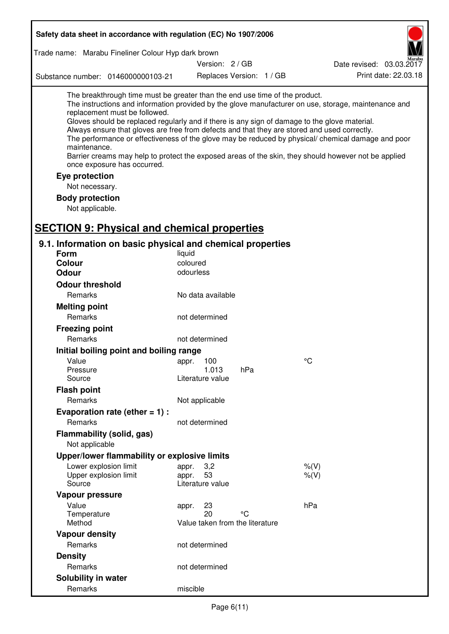|                |                                                                                               | Safety data sheet in accordance with regulation (EC) No 1907/2006                                                                           |          |                                       |                          |                                                                                                                                                                                                                                                                                                                                                                                                                                                                                                                     |
|----------------|-----------------------------------------------------------------------------------------------|---------------------------------------------------------------------------------------------------------------------------------------------|----------|---------------------------------------|--------------------------|---------------------------------------------------------------------------------------------------------------------------------------------------------------------------------------------------------------------------------------------------------------------------------------------------------------------------------------------------------------------------------------------------------------------------------------------------------------------------------------------------------------------|
|                |                                                                                               | Trade name: Marabu Fineliner Colour Hyp dark brown                                                                                          |          |                                       |                          |                                                                                                                                                                                                                                                                                                                                                                                                                                                                                                                     |
|                |                                                                                               |                                                                                                                                             |          | Version: 2 / GB                       |                          | Date revised: 03.03.2017                                                                                                                                                                                                                                                                                                                                                                                                                                                                                            |
|                |                                                                                               | Substance number: 0146000000103-21                                                                                                          |          |                                       | Replaces Version: 1 / GB | Print date: 22.03.18                                                                                                                                                                                                                                                                                                                                                                                                                                                                                                |
|                | maintenance.<br>Eye protection<br>Not necessary.<br><b>Body protection</b><br>Not applicable. | The breakthrough time must be greater than the end use time of the product.<br>replacement must be followed.<br>once exposure has occurred. |          |                                       |                          | The instructions and information provided by the glove manufacturer on use, storage, maintenance and<br>Gloves should be replaced regularly and if there is any sign of damage to the glove material.<br>Always ensure that gloves are free from defects and that they are stored and used correctly.<br>The performance or effectiveness of the glove may be reduced by physical/ chemical damage and poor<br>Barrier creams may help to protect the exposed areas of the skin, they should however not be applied |
|                |                                                                                               | <b>SECTION 9: Physical and chemical properties</b>                                                                                          |          |                                       |                          |                                                                                                                                                                                                                                                                                                                                                                                                                                                                                                                     |
| <b>Form</b>    |                                                                                               | 9.1. Information on basic physical and chemical properties                                                                                  | liquid   |                                       |                          |                                                                                                                                                                                                                                                                                                                                                                                                                                                                                                                     |
| <b>Colour</b>  |                                                                                               |                                                                                                                                             | coloured |                                       |                          |                                                                                                                                                                                                                                                                                                                                                                                                                                                                                                                     |
| Odour          |                                                                                               |                                                                                                                                             |          | odourless                             |                          |                                                                                                                                                                                                                                                                                                                                                                                                                                                                                                                     |
|                | <b>Odour threshold</b>                                                                        |                                                                                                                                             |          |                                       |                          |                                                                                                                                                                                                                                                                                                                                                                                                                                                                                                                     |
|                | Remarks                                                                                       |                                                                                                                                             |          | No data available                     |                          |                                                                                                                                                                                                                                                                                                                                                                                                                                                                                                                     |
|                | <b>Melting point</b>                                                                          |                                                                                                                                             |          |                                       |                          |                                                                                                                                                                                                                                                                                                                                                                                                                                                                                                                     |
|                | Remarks                                                                                       |                                                                                                                                             |          | not determined                        |                          |                                                                                                                                                                                                                                                                                                                                                                                                                                                                                                                     |
|                | <b>Freezing point</b>                                                                         |                                                                                                                                             |          |                                       |                          |                                                                                                                                                                                                                                                                                                                                                                                                                                                                                                                     |
|                | Remarks                                                                                       |                                                                                                                                             |          | not determined                        |                          |                                                                                                                                                                                                                                                                                                                                                                                                                                                                                                                     |
|                |                                                                                               | Initial boiling point and boiling range                                                                                                     |          |                                       |                          |                                                                                                                                                                                                                                                                                                                                                                                                                                                                                                                     |
| Value          |                                                                                               |                                                                                                                                             | appr.    | 100                                   |                          | $\rm ^{\circ}C$                                                                                                                                                                                                                                                                                                                                                                                                                                                                                                     |
|                | Pressure                                                                                      |                                                                                                                                             |          | 1.013                                 | hPa                      |                                                                                                                                                                                                                                                                                                                                                                                                                                                                                                                     |
|                | Source                                                                                        |                                                                                                                                             |          | Literature value                      |                          |                                                                                                                                                                                                                                                                                                                                                                                                                                                                                                                     |
|                | <b>Flash point</b><br>Remarks                                                                 |                                                                                                                                             |          | Not applicable                        |                          |                                                                                                                                                                                                                                                                                                                                                                                                                                                                                                                     |
|                |                                                                                               | Evaporation rate (ether $= 1$ ) :                                                                                                           |          |                                       |                          |                                                                                                                                                                                                                                                                                                                                                                                                                                                                                                                     |
|                | Remarks                                                                                       |                                                                                                                                             |          | not determined                        |                          |                                                                                                                                                                                                                                                                                                                                                                                                                                                                                                                     |
|                | Not applicable                                                                                | Flammability (solid, gas)                                                                                                                   |          |                                       |                          |                                                                                                                                                                                                                                                                                                                                                                                                                                                                                                                     |
|                |                                                                                               | Upper/lower flammability or explosive limits                                                                                                |          |                                       |                          |                                                                                                                                                                                                                                                                                                                                                                                                                                                                                                                     |
|                |                                                                                               | Lower explosion limit                                                                                                                       | appr.    | 3,2                                   |                          | $%$ $(V)$                                                                                                                                                                                                                                                                                                                                                                                                                                                                                                           |
|                | Source                                                                                        | Upper explosion limit                                                                                                                       | appr.    | 53<br>Literature value                |                          | $%$ (V)                                                                                                                                                                                                                                                                                                                                                                                                                                                                                                             |
|                | Vapour pressure                                                                               |                                                                                                                                             |          |                                       |                          |                                                                                                                                                                                                                                                                                                                                                                                                                                                                                                                     |
| Value          |                                                                                               |                                                                                                                                             | appr.    | 23                                    |                          | hPa                                                                                                                                                                                                                                                                                                                                                                                                                                                                                                                 |
|                | Temperature<br>Method                                                                         |                                                                                                                                             |          | 20<br>Value taken from the literature | °C                       |                                                                                                                                                                                                                                                                                                                                                                                                                                                                                                                     |
|                | <b>Vapour density</b>                                                                         |                                                                                                                                             |          |                                       |                          |                                                                                                                                                                                                                                                                                                                                                                                                                                                                                                                     |
|                | Remarks                                                                                       |                                                                                                                                             |          | not determined                        |                          |                                                                                                                                                                                                                                                                                                                                                                                                                                                                                                                     |
| <b>Density</b> |                                                                                               |                                                                                                                                             |          |                                       |                          |                                                                                                                                                                                                                                                                                                                                                                                                                                                                                                                     |
|                | Remarks                                                                                       |                                                                                                                                             |          | not determined                        |                          |                                                                                                                                                                                                                                                                                                                                                                                                                                                                                                                     |
|                | Solubility in water                                                                           |                                                                                                                                             |          |                                       |                          |                                                                                                                                                                                                                                                                                                                                                                                                                                                                                                                     |
|                | Remarks                                                                                       |                                                                                                                                             | miscible |                                       |                          |                                                                                                                                                                                                                                                                                                                                                                                                                                                                                                                     |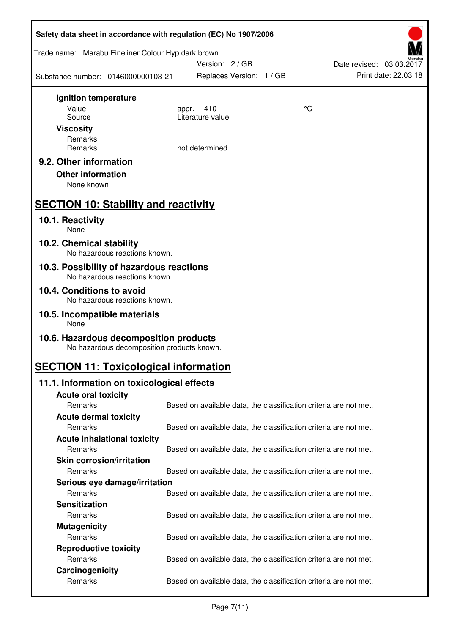| Safety data sheet in accordance with regulation (EC) No 1907/2006 |                                            |                                                                   |    |                          |
|-------------------------------------------------------------------|--------------------------------------------|-------------------------------------------------------------------|----|--------------------------|
| Trade name: Marabu Fineliner Colour Hyp dark brown                |                                            | Version: 2/GB                                                     |    | Date revised: 03.03.2017 |
| Substance number: 0146000000103-21                                |                                            | Replaces Version: 1 / GB                                          |    | Print date: 22.03.18     |
| Ignition temperature                                              |                                            |                                                                   |    |                          |
| Value                                                             | appr.                                      | 410                                                               | °C |                          |
| Source                                                            |                                            | Literature value                                                  |    |                          |
| <b>Viscosity</b>                                                  |                                            |                                                                   |    |                          |
| Remarks                                                           |                                            |                                                                   |    |                          |
| Remarks                                                           |                                            | not determined                                                    |    |                          |
| 9.2. Other information                                            |                                            |                                                                   |    |                          |
| <b>Other information</b>                                          |                                            |                                                                   |    |                          |
| None known                                                        |                                            |                                                                   |    |                          |
| <b>SECTION 10: Stability and reactivity</b>                       |                                            |                                                                   |    |                          |
|                                                                   |                                            |                                                                   |    |                          |
| 10.1. Reactivity<br>None                                          |                                            |                                                                   |    |                          |
| 10.2. Chemical stability                                          | No hazardous reactions known.              |                                                                   |    |                          |
| 10.3. Possibility of hazardous reactions                          | No hazardous reactions known.              |                                                                   |    |                          |
| 10.4. Conditions to avoid                                         |                                            |                                                                   |    |                          |
|                                                                   | No hazardous reactions known.              |                                                                   |    |                          |
| 10.5. Incompatible materials<br>None                              |                                            |                                                                   |    |                          |
| 10.6. Hazardous decomposition products                            | No hazardous decomposition products known. |                                                                   |    |                          |
| <b>SECTION 11: Toxicological information</b>                      |                                            |                                                                   |    |                          |
| 11.1. Information on toxicological effects                        |                                            |                                                                   |    |                          |
| <b>Acute oral toxicity</b>                                        |                                            |                                                                   |    |                          |
| Remarks                                                           |                                            | Based on available data, the classification criteria are not met. |    |                          |
| <b>Acute dermal toxicity</b>                                      |                                            |                                                                   |    |                          |
| Remarks                                                           |                                            | Based on available data, the classification criteria are not met. |    |                          |
| <b>Acute inhalational toxicity</b>                                |                                            |                                                                   |    |                          |
| Remarks                                                           |                                            | Based on available data, the classification criteria are not met. |    |                          |
| <b>Skin corrosion/irritation</b>                                  |                                            |                                                                   |    |                          |
| Remarks                                                           |                                            | Based on available data, the classification criteria are not met. |    |                          |
| Serious eye damage/irritation                                     |                                            |                                                                   |    |                          |
| Remarks                                                           |                                            | Based on available data, the classification criteria are not met. |    |                          |
| <b>Sensitization</b>                                              |                                            |                                                                   |    |                          |
| Remarks                                                           |                                            | Based on available data, the classification criteria are not met. |    |                          |
| <b>Mutagenicity</b>                                               |                                            |                                                                   |    |                          |
| Remarks                                                           |                                            | Based on available data, the classification criteria are not met. |    |                          |
| <b>Reproductive toxicity</b>                                      |                                            |                                                                   |    |                          |
| Remarks                                                           |                                            | Based on available data, the classification criteria are not met. |    |                          |
| Carcinogenicity                                                   |                                            |                                                                   |    |                          |
| Remarks                                                           |                                            | Based on available data, the classification criteria are not met. |    |                          |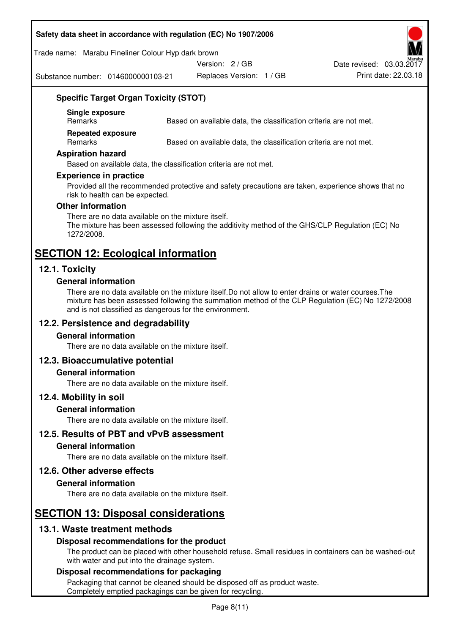#### **Safety data sheet in accordance with regulation (EC) No 1907/2006**

#### Trade name: Marabu Fineliner Colour Hyp dark brown

Version: 2 / GB

Substance number: 0146000000103-21

Replaces Version: 1 / GB Print date: 22.03.18 Date revised: 03.03.2017

## **Specific Target Organ Toxicity (STOT)**

**Single exposure** 

Based on available data, the classification criteria are not met.

**Repeated exposure** 

Remarks Based on available data, the classification criteria are not met.

#### **Aspiration hazard**

Based on available data, the classification criteria are not met.

#### **Experience in practice**

Provided all the recommended protective and safety precautions are taken, experience shows that no risk to health can be expected.

#### **Other information**

There are no data available on the mixture itself. The mixture has been assessed following the additivity method of the GHS/CLP Regulation (EC) No 1272/2008.

## **SECTION 12: Ecological information**

## **12.1. Toxicity**

#### **General information**

There are no data available on the mixture itself.Do not allow to enter drains or water courses.The mixture has been assessed following the summation method of the CLP Regulation (EC) No 1272/2008 and is not classified as dangerous for the environment.

## **12.2. Persistence and degradability**

#### **General information**

There are no data available on the mixture itself.

#### **12.3. Bioaccumulative potential**

#### **General information**

There are no data available on the mixture itself.

#### **12.4. Mobility in soil**

#### **General information**

There are no data available on the mixture itself.

**12.5. Results of PBT and vPvB assessment** 

#### **General information**

There are no data available on the mixture itself.

#### **12.6. Other adverse effects**

#### **General information**

There are no data available on the mixture itself.

# **SECTION 13: Disposal considerations**

## **13.1. Waste treatment methods**

#### **Disposal recommendations for the product**

The product can be placed with other household refuse. Small residues in containers can be washed-out with water and put into the drainage system.

#### **Disposal recommendations for packaging**

Packaging that cannot be cleaned should be disposed off as product waste. Completely emptied packagings can be given for recycling.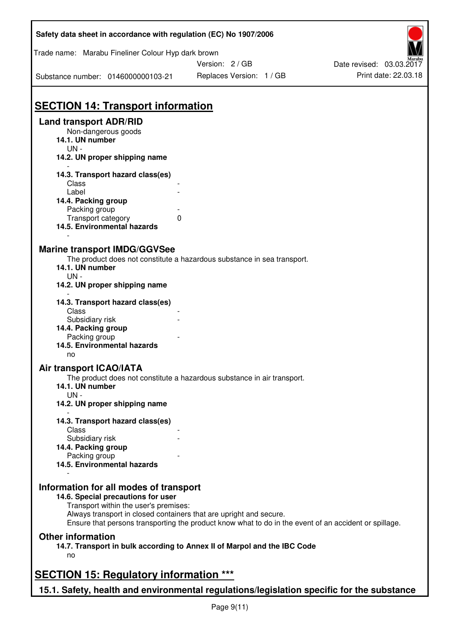| Safety data sheet in accordance with regulation (EC) No 1907/2006                                           |                                                                                                       |                                                  |
|-------------------------------------------------------------------------------------------------------------|-------------------------------------------------------------------------------------------------------|--------------------------------------------------|
| Trade name: Marabu Fineliner Colour Hyp dark brown                                                          | Version: 2 / GB                                                                                       |                                                  |
| Substance number: 0146000000103-21                                                                          | Replaces Version: 1 / GB                                                                              | Date revised: 03.03.2017<br>Print date: 22.03.18 |
|                                                                                                             |                                                                                                       |                                                  |
| <b>SECTION 14: Transport information</b>                                                                    |                                                                                                       |                                                  |
| <b>Land transport ADR/RID</b><br>Non-dangerous goods<br>14.1. UN number<br>$UN -$                           |                                                                                                       |                                                  |
| 14.2. UN proper shipping name                                                                               |                                                                                                       |                                                  |
| 14.3. Transport hazard class(es)<br>Class                                                                   |                                                                                                       |                                                  |
| Label<br>14.4. Packing group                                                                                |                                                                                                       |                                                  |
| Packing group                                                                                               |                                                                                                       |                                                  |
| $\mathbf 0$<br>Transport category<br>14.5. Environmental hazards                                            |                                                                                                       |                                                  |
| <b>Marine transport IMDG/GGVSee</b>                                                                         | The product does not constitute a hazardous substance in sea transport.                               |                                                  |
| 14.1. UN number<br>$UN -$<br>14.2. UN proper shipping name                                                  |                                                                                                       |                                                  |
| 14.3. Transport hazard class(es)<br>Class                                                                   |                                                                                                       |                                                  |
| Subsidiary risk                                                                                             |                                                                                                       |                                                  |
| 14.4. Packing group<br>Packing group                                                                        |                                                                                                       |                                                  |
| 14.5. Environmental hazards<br>no                                                                           |                                                                                                       |                                                  |
| <b>Air transport ICAO/IATA</b>                                                                              |                                                                                                       |                                                  |
| 14.1. UN number<br>$UN -$                                                                                   | The product does not constitute a hazardous substance in air transport.                               |                                                  |
| 14.2. UN proper shipping name                                                                               |                                                                                                       |                                                  |
| 14.3. Transport hazard class(es)                                                                            |                                                                                                       |                                                  |
| Class<br>Subsidiary risk                                                                                    |                                                                                                       |                                                  |
| 14.4. Packing group                                                                                         |                                                                                                       |                                                  |
| Packing group                                                                                               |                                                                                                       |                                                  |
| 14.5. Environmental hazards                                                                                 |                                                                                                       |                                                  |
| Information for all modes of transport<br>14.6. Special precautions for user                                |                                                                                                       |                                                  |
| Transport within the user's premises:<br>Always transport in closed containers that are upright and secure. | Ensure that persons transporting the product know what to do in the event of an accident or spillage. |                                                  |
| <b>Other information</b>                                                                                    |                                                                                                       |                                                  |
| no                                                                                                          | 14.7. Transport in bulk according to Annex II of Marpol and the IBC Code                              |                                                  |
| <b>SECTION 15: Regulatory information ***</b>                                                               |                                                                                                       |                                                  |
| 15.1. Safety, health and environmental regulations/legislation specific for the substance                   |                                                                                                       |                                                  |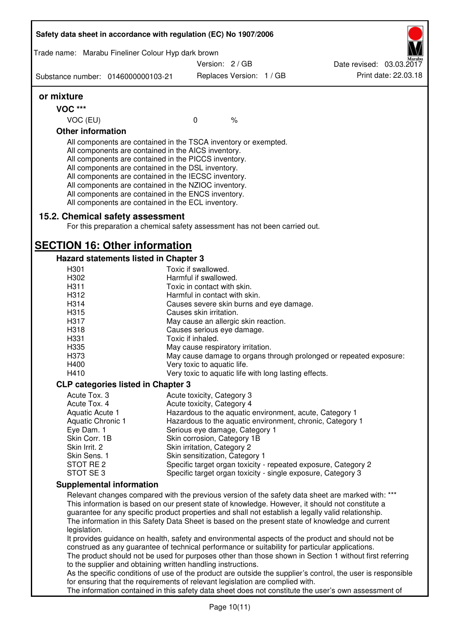| Safety data sheet in accordance with regulation (EC) No 1907/2006<br>Trade name: Marabu Fineliner Colour Hyp dark brown<br>Version: 2 / GB<br>Date revised: 03.03.2017<br>Print date: 22.03.18<br>Replaces Version: 1 / GB<br>Substance number: 0146000000103-21<br>or mixture<br><b>VOC ***</b><br>VOC (EU)<br>$\mathbf 0$<br>$\%$<br><b>Other information</b><br>All components are contained in the TSCA inventory or exempted.<br>All components are contained in the AICS inventory.<br>All components are contained in the PICCS inventory.<br>All components are contained in the DSL inventory.<br>All components are contained in the IECSC inventory.<br>All components are contained in the NZIOC inventory.<br>All components are contained in the ENCS inventory.<br>All components are contained in the ECL inventory.<br>15.2. Chemical safety assessment<br>For this preparation a chemical safety assessment has not been carried out.<br><b>SECTION 16: Other information</b><br>Hazard statements listed in Chapter 3<br>Toxic if swallowed.<br>H301<br>H302<br>Harmful if swallowed.<br>H311<br>Toxic in contact with skin.<br>H312<br>Harmful in contact with skin.<br>H314<br>Causes severe skin burns and eye damage.<br>H315<br>Causes skin irritation.<br>H317<br>May cause an allergic skin reaction.<br>H318<br>Causes serious eye damage.<br>H331<br>Toxic if inhaled.<br>H335<br>May cause respiratory irritation.<br>H373<br>May cause damage to organs through prolonged or repeated exposure:<br>H400<br>Very toxic to aquatic life.<br>H410<br>Very toxic to aquatic life with long lasting effects.<br><b>CLP categories listed in Chapter 3</b><br>Acute Tox. 3<br>Acute toxicity, Category 3<br>Acute Tox. 4<br>Acute toxicity, Category 4<br>Hazardous to the aquatic environment, acute, Category 1<br>Aquatic Acute 1<br>Hazardous to the aquatic environment, chronic, Category 1<br>Aquatic Chronic 1<br>Eye Dam. 1<br>Serious eye damage, Category 1<br>Skin corrosion, Category 1B<br>Skin Corr. 1B<br>Skin Irrit. 2<br>Skin irritation, Category 2<br>Skin Sens. 1<br>Skin sensitization, Category 1<br>STOT RE 2<br>Specific target organ toxicity - repeated exposure, Category 2<br>STOT SE 3<br>Specific target organ toxicity - single exposure, Category 3<br><b>Supplemental information</b><br>Relevant changes compared with the previous version of the safety data sheet are marked with: ***<br>This information is based on our present state of knowledge. However, it should not constitute a<br>guarantee for any specific product properties and shall not establish a legally valid relationship.<br>The information in this Safety Data Sheet is based on the present state of knowledge and current<br>legislation.<br>It provides guidance on health, safety and environmental aspects of the product and should not be<br>construed as any guarantee of technical performance or suitability for particular applications.<br>The product should not be used for purposes other than those shown in Section 1 without first referring<br>to the supplier and obtaining written handling instructions.<br>As the specific conditions of use of the product are outside the supplier's control, the user is responsible<br>for ensuring that the requirements of relevant legislation are complied with. |  |  |  |
|-------------------------------------------------------------------------------------------------------------------------------------------------------------------------------------------------------------------------------------------------------------------------------------------------------------------------------------------------------------------------------------------------------------------------------------------------------------------------------------------------------------------------------------------------------------------------------------------------------------------------------------------------------------------------------------------------------------------------------------------------------------------------------------------------------------------------------------------------------------------------------------------------------------------------------------------------------------------------------------------------------------------------------------------------------------------------------------------------------------------------------------------------------------------------------------------------------------------------------------------------------------------------------------------------------------------------------------------------------------------------------------------------------------------------------------------------------------------------------------------------------------------------------------------------------------------------------------------------------------------------------------------------------------------------------------------------------------------------------------------------------------------------------------------------------------------------------------------------------------------------------------------------------------------------------------------------------------------------------------------------------------------------------------------------------------------------------------------------------------------------------------------------------------------------------------------------------------------------------------------------------------------------------------------------------------------------------------------------------------------------------------------------------------------------------------------------------------------------------------------------------------------------------------------------------------------------------------------------------------------------------------------------------------------------------------------------------------------------------------------------------------------------------------------------------------------------------------------------------------------------------------------------------------------------------------------------------------------------------------------------------------------------------------------------------------------------------------------------------------------------------------------------------------------------------------------------------------------------------------------------------------------------------------------------------------------------------------------------------------------------|--|--|--|
|                                                                                                                                                                                                                                                                                                                                                                                                                                                                                                                                                                                                                                                                                                                                                                                                                                                                                                                                                                                                                                                                                                                                                                                                                                                                                                                                                                                                                                                                                                                                                                                                                                                                                                                                                                                                                                                                                                                                                                                                                                                                                                                                                                                                                                                                                                                                                                                                                                                                                                                                                                                                                                                                                                                                                                                                                                                                                                                                                                                                                                                                                                                                                                                                                                                                                                                                                                         |  |  |  |
|                                                                                                                                                                                                                                                                                                                                                                                                                                                                                                                                                                                                                                                                                                                                                                                                                                                                                                                                                                                                                                                                                                                                                                                                                                                                                                                                                                                                                                                                                                                                                                                                                                                                                                                                                                                                                                                                                                                                                                                                                                                                                                                                                                                                                                                                                                                                                                                                                                                                                                                                                                                                                                                                                                                                                                                                                                                                                                                                                                                                                                                                                                                                                                                                                                                                                                                                                                         |  |  |  |
|                                                                                                                                                                                                                                                                                                                                                                                                                                                                                                                                                                                                                                                                                                                                                                                                                                                                                                                                                                                                                                                                                                                                                                                                                                                                                                                                                                                                                                                                                                                                                                                                                                                                                                                                                                                                                                                                                                                                                                                                                                                                                                                                                                                                                                                                                                                                                                                                                                                                                                                                                                                                                                                                                                                                                                                                                                                                                                                                                                                                                                                                                                                                                                                                                                                                                                                                                                         |  |  |  |
|                                                                                                                                                                                                                                                                                                                                                                                                                                                                                                                                                                                                                                                                                                                                                                                                                                                                                                                                                                                                                                                                                                                                                                                                                                                                                                                                                                                                                                                                                                                                                                                                                                                                                                                                                                                                                                                                                                                                                                                                                                                                                                                                                                                                                                                                                                                                                                                                                                                                                                                                                                                                                                                                                                                                                                                                                                                                                                                                                                                                                                                                                                                                                                                                                                                                                                                                                                         |  |  |  |
|                                                                                                                                                                                                                                                                                                                                                                                                                                                                                                                                                                                                                                                                                                                                                                                                                                                                                                                                                                                                                                                                                                                                                                                                                                                                                                                                                                                                                                                                                                                                                                                                                                                                                                                                                                                                                                                                                                                                                                                                                                                                                                                                                                                                                                                                                                                                                                                                                                                                                                                                                                                                                                                                                                                                                                                                                                                                                                                                                                                                                                                                                                                                                                                                                                                                                                                                                                         |  |  |  |
|                                                                                                                                                                                                                                                                                                                                                                                                                                                                                                                                                                                                                                                                                                                                                                                                                                                                                                                                                                                                                                                                                                                                                                                                                                                                                                                                                                                                                                                                                                                                                                                                                                                                                                                                                                                                                                                                                                                                                                                                                                                                                                                                                                                                                                                                                                                                                                                                                                                                                                                                                                                                                                                                                                                                                                                                                                                                                                                                                                                                                                                                                                                                                                                                                                                                                                                                                                         |  |  |  |
|                                                                                                                                                                                                                                                                                                                                                                                                                                                                                                                                                                                                                                                                                                                                                                                                                                                                                                                                                                                                                                                                                                                                                                                                                                                                                                                                                                                                                                                                                                                                                                                                                                                                                                                                                                                                                                                                                                                                                                                                                                                                                                                                                                                                                                                                                                                                                                                                                                                                                                                                                                                                                                                                                                                                                                                                                                                                                                                                                                                                                                                                                                                                                                                                                                                                                                                                                                         |  |  |  |
|                                                                                                                                                                                                                                                                                                                                                                                                                                                                                                                                                                                                                                                                                                                                                                                                                                                                                                                                                                                                                                                                                                                                                                                                                                                                                                                                                                                                                                                                                                                                                                                                                                                                                                                                                                                                                                                                                                                                                                                                                                                                                                                                                                                                                                                                                                                                                                                                                                                                                                                                                                                                                                                                                                                                                                                                                                                                                                                                                                                                                                                                                                                                                                                                                                                                                                                                                                         |  |  |  |
|                                                                                                                                                                                                                                                                                                                                                                                                                                                                                                                                                                                                                                                                                                                                                                                                                                                                                                                                                                                                                                                                                                                                                                                                                                                                                                                                                                                                                                                                                                                                                                                                                                                                                                                                                                                                                                                                                                                                                                                                                                                                                                                                                                                                                                                                                                                                                                                                                                                                                                                                                                                                                                                                                                                                                                                                                                                                                                                                                                                                                                                                                                                                                                                                                                                                                                                                                                         |  |  |  |
|                                                                                                                                                                                                                                                                                                                                                                                                                                                                                                                                                                                                                                                                                                                                                                                                                                                                                                                                                                                                                                                                                                                                                                                                                                                                                                                                                                                                                                                                                                                                                                                                                                                                                                                                                                                                                                                                                                                                                                                                                                                                                                                                                                                                                                                                                                                                                                                                                                                                                                                                                                                                                                                                                                                                                                                                                                                                                                                                                                                                                                                                                                                                                                                                                                                                                                                                                                         |  |  |  |
|                                                                                                                                                                                                                                                                                                                                                                                                                                                                                                                                                                                                                                                                                                                                                                                                                                                                                                                                                                                                                                                                                                                                                                                                                                                                                                                                                                                                                                                                                                                                                                                                                                                                                                                                                                                                                                                                                                                                                                                                                                                                                                                                                                                                                                                                                                                                                                                                                                                                                                                                                                                                                                                                                                                                                                                                                                                                                                                                                                                                                                                                                                                                                                                                                                                                                                                                                                         |  |  |  |
|                                                                                                                                                                                                                                                                                                                                                                                                                                                                                                                                                                                                                                                                                                                                                                                                                                                                                                                                                                                                                                                                                                                                                                                                                                                                                                                                                                                                                                                                                                                                                                                                                                                                                                                                                                                                                                                                                                                                                                                                                                                                                                                                                                                                                                                                                                                                                                                                                                                                                                                                                                                                                                                                                                                                                                                                                                                                                                                                                                                                                                                                                                                                                                                                                                                                                                                                                                         |  |  |  |
|                                                                                                                                                                                                                                                                                                                                                                                                                                                                                                                                                                                                                                                                                                                                                                                                                                                                                                                                                                                                                                                                                                                                                                                                                                                                                                                                                                                                                                                                                                                                                                                                                                                                                                                                                                                                                                                                                                                                                                                                                                                                                                                                                                                                                                                                                                                                                                                                                                                                                                                                                                                                                                                                                                                                                                                                                                                                                                                                                                                                                                                                                                                                                                                                                                                                                                                                                                         |  |  |  |
|                                                                                                                                                                                                                                                                                                                                                                                                                                                                                                                                                                                                                                                                                                                                                                                                                                                                                                                                                                                                                                                                                                                                                                                                                                                                                                                                                                                                                                                                                                                                                                                                                                                                                                                                                                                                                                                                                                                                                                                                                                                                                                                                                                                                                                                                                                                                                                                                                                                                                                                                                                                                                                                                                                                                                                                                                                                                                                                                                                                                                                                                                                                                                                                                                                                                                                                                                                         |  |  |  |
|                                                                                                                                                                                                                                                                                                                                                                                                                                                                                                                                                                                                                                                                                                                                                                                                                                                                                                                                                                                                                                                                                                                                                                                                                                                                                                                                                                                                                                                                                                                                                                                                                                                                                                                                                                                                                                                                                                                                                                                                                                                                                                                                                                                                                                                                                                                                                                                                                                                                                                                                                                                                                                                                                                                                                                                                                                                                                                                                                                                                                                                                                                                                                                                                                                                                                                                                                                         |  |  |  |
|                                                                                                                                                                                                                                                                                                                                                                                                                                                                                                                                                                                                                                                                                                                                                                                                                                                                                                                                                                                                                                                                                                                                                                                                                                                                                                                                                                                                                                                                                                                                                                                                                                                                                                                                                                                                                                                                                                                                                                                                                                                                                                                                                                                                                                                                                                                                                                                                                                                                                                                                                                                                                                                                                                                                                                                                                                                                                                                                                                                                                                                                                                                                                                                                                                                                                                                                                                         |  |  |  |
|                                                                                                                                                                                                                                                                                                                                                                                                                                                                                                                                                                                                                                                                                                                                                                                                                                                                                                                                                                                                                                                                                                                                                                                                                                                                                                                                                                                                                                                                                                                                                                                                                                                                                                                                                                                                                                                                                                                                                                                                                                                                                                                                                                                                                                                                                                                                                                                                                                                                                                                                                                                                                                                                                                                                                                                                                                                                                                                                                                                                                                                                                                                                                                                                                                                                                                                                                                         |  |  |  |
|                                                                                                                                                                                                                                                                                                                                                                                                                                                                                                                                                                                                                                                                                                                                                                                                                                                                                                                                                                                                                                                                                                                                                                                                                                                                                                                                                                                                                                                                                                                                                                                                                                                                                                                                                                                                                                                                                                                                                                                                                                                                                                                                                                                                                                                                                                                                                                                                                                                                                                                                                                                                                                                                                                                                                                                                                                                                                                                                                                                                                                                                                                                                                                                                                                                                                                                                                                         |  |  |  |
|                                                                                                                                                                                                                                                                                                                                                                                                                                                                                                                                                                                                                                                                                                                                                                                                                                                                                                                                                                                                                                                                                                                                                                                                                                                                                                                                                                                                                                                                                                                                                                                                                                                                                                                                                                                                                                                                                                                                                                                                                                                                                                                                                                                                                                                                                                                                                                                                                                                                                                                                                                                                                                                                                                                                                                                                                                                                                                                                                                                                                                                                                                                                                                                                                                                                                                                                                                         |  |  |  |
|                                                                                                                                                                                                                                                                                                                                                                                                                                                                                                                                                                                                                                                                                                                                                                                                                                                                                                                                                                                                                                                                                                                                                                                                                                                                                                                                                                                                                                                                                                                                                                                                                                                                                                                                                                                                                                                                                                                                                                                                                                                                                                                                                                                                                                                                                                                                                                                                                                                                                                                                                                                                                                                                                                                                                                                                                                                                                                                                                                                                                                                                                                                                                                                                                                                                                                                                                                         |  |  |  |
|                                                                                                                                                                                                                                                                                                                                                                                                                                                                                                                                                                                                                                                                                                                                                                                                                                                                                                                                                                                                                                                                                                                                                                                                                                                                                                                                                                                                                                                                                                                                                                                                                                                                                                                                                                                                                                                                                                                                                                                                                                                                                                                                                                                                                                                                                                                                                                                                                                                                                                                                                                                                                                                                                                                                                                                                                                                                                                                                                                                                                                                                                                                                                                                                                                                                                                                                                                         |  |  |  |
|                                                                                                                                                                                                                                                                                                                                                                                                                                                                                                                                                                                                                                                                                                                                                                                                                                                                                                                                                                                                                                                                                                                                                                                                                                                                                                                                                                                                                                                                                                                                                                                                                                                                                                                                                                                                                                                                                                                                                                                                                                                                                                                                                                                                                                                                                                                                                                                                                                                                                                                                                                                                                                                                                                                                                                                                                                                                                                                                                                                                                                                                                                                                                                                                                                                                                                                                                                         |  |  |  |
|                                                                                                                                                                                                                                                                                                                                                                                                                                                                                                                                                                                                                                                                                                                                                                                                                                                                                                                                                                                                                                                                                                                                                                                                                                                                                                                                                                                                                                                                                                                                                                                                                                                                                                                                                                                                                                                                                                                                                                                                                                                                                                                                                                                                                                                                                                                                                                                                                                                                                                                                                                                                                                                                                                                                                                                                                                                                                                                                                                                                                                                                                                                                                                                                                                                                                                                                                                         |  |  |  |
|                                                                                                                                                                                                                                                                                                                                                                                                                                                                                                                                                                                                                                                                                                                                                                                                                                                                                                                                                                                                                                                                                                                                                                                                                                                                                                                                                                                                                                                                                                                                                                                                                                                                                                                                                                                                                                                                                                                                                                                                                                                                                                                                                                                                                                                                                                                                                                                                                                                                                                                                                                                                                                                                                                                                                                                                                                                                                                                                                                                                                                                                                                                                                                                                                                                                                                                                                                         |  |  |  |
|                                                                                                                                                                                                                                                                                                                                                                                                                                                                                                                                                                                                                                                                                                                                                                                                                                                                                                                                                                                                                                                                                                                                                                                                                                                                                                                                                                                                                                                                                                                                                                                                                                                                                                                                                                                                                                                                                                                                                                                                                                                                                                                                                                                                                                                                                                                                                                                                                                                                                                                                                                                                                                                                                                                                                                                                                                                                                                                                                                                                                                                                                                                                                                                                                                                                                                                                                                         |  |  |  |
|                                                                                                                                                                                                                                                                                                                                                                                                                                                                                                                                                                                                                                                                                                                                                                                                                                                                                                                                                                                                                                                                                                                                                                                                                                                                                                                                                                                                                                                                                                                                                                                                                                                                                                                                                                                                                                                                                                                                                                                                                                                                                                                                                                                                                                                                                                                                                                                                                                                                                                                                                                                                                                                                                                                                                                                                                                                                                                                                                                                                                                                                                                                                                                                                                                                                                                                                                                         |  |  |  |
|                                                                                                                                                                                                                                                                                                                                                                                                                                                                                                                                                                                                                                                                                                                                                                                                                                                                                                                                                                                                                                                                                                                                                                                                                                                                                                                                                                                                                                                                                                                                                                                                                                                                                                                                                                                                                                                                                                                                                                                                                                                                                                                                                                                                                                                                                                                                                                                                                                                                                                                                                                                                                                                                                                                                                                                                                                                                                                                                                                                                                                                                                                                                                                                                                                                                                                                                                                         |  |  |  |
|                                                                                                                                                                                                                                                                                                                                                                                                                                                                                                                                                                                                                                                                                                                                                                                                                                                                                                                                                                                                                                                                                                                                                                                                                                                                                                                                                                                                                                                                                                                                                                                                                                                                                                                                                                                                                                                                                                                                                                                                                                                                                                                                                                                                                                                                                                                                                                                                                                                                                                                                                                                                                                                                                                                                                                                                                                                                                                                                                                                                                                                                                                                                                                                                                                                                                                                                                                         |  |  |  |
|                                                                                                                                                                                                                                                                                                                                                                                                                                                                                                                                                                                                                                                                                                                                                                                                                                                                                                                                                                                                                                                                                                                                                                                                                                                                                                                                                                                                                                                                                                                                                                                                                                                                                                                                                                                                                                                                                                                                                                                                                                                                                                                                                                                                                                                                                                                                                                                                                                                                                                                                                                                                                                                                                                                                                                                                                                                                                                                                                                                                                                                                                                                                                                                                                                                                                                                                                                         |  |  |  |
|                                                                                                                                                                                                                                                                                                                                                                                                                                                                                                                                                                                                                                                                                                                                                                                                                                                                                                                                                                                                                                                                                                                                                                                                                                                                                                                                                                                                                                                                                                                                                                                                                                                                                                                                                                                                                                                                                                                                                                                                                                                                                                                                                                                                                                                                                                                                                                                                                                                                                                                                                                                                                                                                                                                                                                                                                                                                                                                                                                                                                                                                                                                                                                                                                                                                                                                                                                         |  |  |  |
|                                                                                                                                                                                                                                                                                                                                                                                                                                                                                                                                                                                                                                                                                                                                                                                                                                                                                                                                                                                                                                                                                                                                                                                                                                                                                                                                                                                                                                                                                                                                                                                                                                                                                                                                                                                                                                                                                                                                                                                                                                                                                                                                                                                                                                                                                                                                                                                                                                                                                                                                                                                                                                                                                                                                                                                                                                                                                                                                                                                                                                                                                                                                                                                                                                                                                                                                                                         |  |  |  |
|                                                                                                                                                                                                                                                                                                                                                                                                                                                                                                                                                                                                                                                                                                                                                                                                                                                                                                                                                                                                                                                                                                                                                                                                                                                                                                                                                                                                                                                                                                                                                                                                                                                                                                                                                                                                                                                                                                                                                                                                                                                                                                                                                                                                                                                                                                                                                                                                                                                                                                                                                                                                                                                                                                                                                                                                                                                                                                                                                                                                                                                                                                                                                                                                                                                                                                                                                                         |  |  |  |
|                                                                                                                                                                                                                                                                                                                                                                                                                                                                                                                                                                                                                                                                                                                                                                                                                                                                                                                                                                                                                                                                                                                                                                                                                                                                                                                                                                                                                                                                                                                                                                                                                                                                                                                                                                                                                                                                                                                                                                                                                                                                                                                                                                                                                                                                                                                                                                                                                                                                                                                                                                                                                                                                                                                                                                                                                                                                                                                                                                                                                                                                                                                                                                                                                                                                                                                                                                         |  |  |  |
|                                                                                                                                                                                                                                                                                                                                                                                                                                                                                                                                                                                                                                                                                                                                                                                                                                                                                                                                                                                                                                                                                                                                                                                                                                                                                                                                                                                                                                                                                                                                                                                                                                                                                                                                                                                                                                                                                                                                                                                                                                                                                                                                                                                                                                                                                                                                                                                                                                                                                                                                                                                                                                                                                                                                                                                                                                                                                                                                                                                                                                                                                                                                                                                                                                                                                                                                                                         |  |  |  |
|                                                                                                                                                                                                                                                                                                                                                                                                                                                                                                                                                                                                                                                                                                                                                                                                                                                                                                                                                                                                                                                                                                                                                                                                                                                                                                                                                                                                                                                                                                                                                                                                                                                                                                                                                                                                                                                                                                                                                                                                                                                                                                                                                                                                                                                                                                                                                                                                                                                                                                                                                                                                                                                                                                                                                                                                                                                                                                                                                                                                                                                                                                                                                                                                                                                                                                                                                                         |  |  |  |
|                                                                                                                                                                                                                                                                                                                                                                                                                                                                                                                                                                                                                                                                                                                                                                                                                                                                                                                                                                                                                                                                                                                                                                                                                                                                                                                                                                                                                                                                                                                                                                                                                                                                                                                                                                                                                                                                                                                                                                                                                                                                                                                                                                                                                                                                                                                                                                                                                                                                                                                                                                                                                                                                                                                                                                                                                                                                                                                                                                                                                                                                                                                                                                                                                                                                                                                                                                         |  |  |  |
|                                                                                                                                                                                                                                                                                                                                                                                                                                                                                                                                                                                                                                                                                                                                                                                                                                                                                                                                                                                                                                                                                                                                                                                                                                                                                                                                                                                                                                                                                                                                                                                                                                                                                                                                                                                                                                                                                                                                                                                                                                                                                                                                                                                                                                                                                                                                                                                                                                                                                                                                                                                                                                                                                                                                                                                                                                                                                                                                                                                                                                                                                                                                                                                                                                                                                                                                                                         |  |  |  |
|                                                                                                                                                                                                                                                                                                                                                                                                                                                                                                                                                                                                                                                                                                                                                                                                                                                                                                                                                                                                                                                                                                                                                                                                                                                                                                                                                                                                                                                                                                                                                                                                                                                                                                                                                                                                                                                                                                                                                                                                                                                                                                                                                                                                                                                                                                                                                                                                                                                                                                                                                                                                                                                                                                                                                                                                                                                                                                                                                                                                                                                                                                                                                                                                                                                                                                                                                                         |  |  |  |
|                                                                                                                                                                                                                                                                                                                                                                                                                                                                                                                                                                                                                                                                                                                                                                                                                                                                                                                                                                                                                                                                                                                                                                                                                                                                                                                                                                                                                                                                                                                                                                                                                                                                                                                                                                                                                                                                                                                                                                                                                                                                                                                                                                                                                                                                                                                                                                                                                                                                                                                                                                                                                                                                                                                                                                                                                                                                                                                                                                                                                                                                                                                                                                                                                                                                                                                                                                         |  |  |  |
|                                                                                                                                                                                                                                                                                                                                                                                                                                                                                                                                                                                                                                                                                                                                                                                                                                                                                                                                                                                                                                                                                                                                                                                                                                                                                                                                                                                                                                                                                                                                                                                                                                                                                                                                                                                                                                                                                                                                                                                                                                                                                                                                                                                                                                                                                                                                                                                                                                                                                                                                                                                                                                                                                                                                                                                                                                                                                                                                                                                                                                                                                                                                                                                                                                                                                                                                                                         |  |  |  |
|                                                                                                                                                                                                                                                                                                                                                                                                                                                                                                                                                                                                                                                                                                                                                                                                                                                                                                                                                                                                                                                                                                                                                                                                                                                                                                                                                                                                                                                                                                                                                                                                                                                                                                                                                                                                                                                                                                                                                                                                                                                                                                                                                                                                                                                                                                                                                                                                                                                                                                                                                                                                                                                                                                                                                                                                                                                                                                                                                                                                                                                                                                                                                                                                                                                                                                                                                                         |  |  |  |
|                                                                                                                                                                                                                                                                                                                                                                                                                                                                                                                                                                                                                                                                                                                                                                                                                                                                                                                                                                                                                                                                                                                                                                                                                                                                                                                                                                                                                                                                                                                                                                                                                                                                                                                                                                                                                                                                                                                                                                                                                                                                                                                                                                                                                                                                                                                                                                                                                                                                                                                                                                                                                                                                                                                                                                                                                                                                                                                                                                                                                                                                                                                                                                                                                                                                                                                                                                         |  |  |  |
|                                                                                                                                                                                                                                                                                                                                                                                                                                                                                                                                                                                                                                                                                                                                                                                                                                                                                                                                                                                                                                                                                                                                                                                                                                                                                                                                                                                                                                                                                                                                                                                                                                                                                                                                                                                                                                                                                                                                                                                                                                                                                                                                                                                                                                                                                                                                                                                                                                                                                                                                                                                                                                                                                                                                                                                                                                                                                                                                                                                                                                                                                                                                                                                                                                                                                                                                                                         |  |  |  |
|                                                                                                                                                                                                                                                                                                                                                                                                                                                                                                                                                                                                                                                                                                                                                                                                                                                                                                                                                                                                                                                                                                                                                                                                                                                                                                                                                                                                                                                                                                                                                                                                                                                                                                                                                                                                                                                                                                                                                                                                                                                                                                                                                                                                                                                                                                                                                                                                                                                                                                                                                                                                                                                                                                                                                                                                                                                                                                                                                                                                                                                                                                                                                                                                                                                                                                                                                                         |  |  |  |
|                                                                                                                                                                                                                                                                                                                                                                                                                                                                                                                                                                                                                                                                                                                                                                                                                                                                                                                                                                                                                                                                                                                                                                                                                                                                                                                                                                                                                                                                                                                                                                                                                                                                                                                                                                                                                                                                                                                                                                                                                                                                                                                                                                                                                                                                                                                                                                                                                                                                                                                                                                                                                                                                                                                                                                                                                                                                                                                                                                                                                                                                                                                                                                                                                                                                                                                                                                         |  |  |  |
|                                                                                                                                                                                                                                                                                                                                                                                                                                                                                                                                                                                                                                                                                                                                                                                                                                                                                                                                                                                                                                                                                                                                                                                                                                                                                                                                                                                                                                                                                                                                                                                                                                                                                                                                                                                                                                                                                                                                                                                                                                                                                                                                                                                                                                                                                                                                                                                                                                                                                                                                                                                                                                                                                                                                                                                                                                                                                                                                                                                                                                                                                                                                                                                                                                                                                                                                                                         |  |  |  |
|                                                                                                                                                                                                                                                                                                                                                                                                                                                                                                                                                                                                                                                                                                                                                                                                                                                                                                                                                                                                                                                                                                                                                                                                                                                                                                                                                                                                                                                                                                                                                                                                                                                                                                                                                                                                                                                                                                                                                                                                                                                                                                                                                                                                                                                                                                                                                                                                                                                                                                                                                                                                                                                                                                                                                                                                                                                                                                                                                                                                                                                                                                                                                                                                                                                                                                                                                                         |  |  |  |
|                                                                                                                                                                                                                                                                                                                                                                                                                                                                                                                                                                                                                                                                                                                                                                                                                                                                                                                                                                                                                                                                                                                                                                                                                                                                                                                                                                                                                                                                                                                                                                                                                                                                                                                                                                                                                                                                                                                                                                                                                                                                                                                                                                                                                                                                                                                                                                                                                                                                                                                                                                                                                                                                                                                                                                                                                                                                                                                                                                                                                                                                                                                                                                                                                                                                                                                                                                         |  |  |  |
|                                                                                                                                                                                                                                                                                                                                                                                                                                                                                                                                                                                                                                                                                                                                                                                                                                                                                                                                                                                                                                                                                                                                                                                                                                                                                                                                                                                                                                                                                                                                                                                                                                                                                                                                                                                                                                                                                                                                                                                                                                                                                                                                                                                                                                                                                                                                                                                                                                                                                                                                                                                                                                                                                                                                                                                                                                                                                                                                                                                                                                                                                                                                                                                                                                                                                                                                                                         |  |  |  |
|                                                                                                                                                                                                                                                                                                                                                                                                                                                                                                                                                                                                                                                                                                                                                                                                                                                                                                                                                                                                                                                                                                                                                                                                                                                                                                                                                                                                                                                                                                                                                                                                                                                                                                                                                                                                                                                                                                                                                                                                                                                                                                                                                                                                                                                                                                                                                                                                                                                                                                                                                                                                                                                                                                                                                                                                                                                                                                                                                                                                                                                                                                                                                                                                                                                                                                                                                                         |  |  |  |
|                                                                                                                                                                                                                                                                                                                                                                                                                                                                                                                                                                                                                                                                                                                                                                                                                                                                                                                                                                                                                                                                                                                                                                                                                                                                                                                                                                                                                                                                                                                                                                                                                                                                                                                                                                                                                                                                                                                                                                                                                                                                                                                                                                                                                                                                                                                                                                                                                                                                                                                                                                                                                                                                                                                                                                                                                                                                                                                                                                                                                                                                                                                                                                                                                                                                                                                                                                         |  |  |  |
|                                                                                                                                                                                                                                                                                                                                                                                                                                                                                                                                                                                                                                                                                                                                                                                                                                                                                                                                                                                                                                                                                                                                                                                                                                                                                                                                                                                                                                                                                                                                                                                                                                                                                                                                                                                                                                                                                                                                                                                                                                                                                                                                                                                                                                                                                                                                                                                                                                                                                                                                                                                                                                                                                                                                                                                                                                                                                                                                                                                                                                                                                                                                                                                                                                                                                                                                                                         |  |  |  |
| The information contained in this safety data sheet does not constitute the user's own assessment of                                                                                                                                                                                                                                                                                                                                                                                                                                                                                                                                                                                                                                                                                                                                                                                                                                                                                                                                                                                                                                                                                                                                                                                                                                                                                                                                                                                                                                                                                                                                                                                                                                                                                                                                                                                                                                                                                                                                                                                                                                                                                                                                                                                                                                                                                                                                                                                                                                                                                                                                                                                                                                                                                                                                                                                                                                                                                                                                                                                                                                                                                                                                                                                                                                                                    |  |  |  |